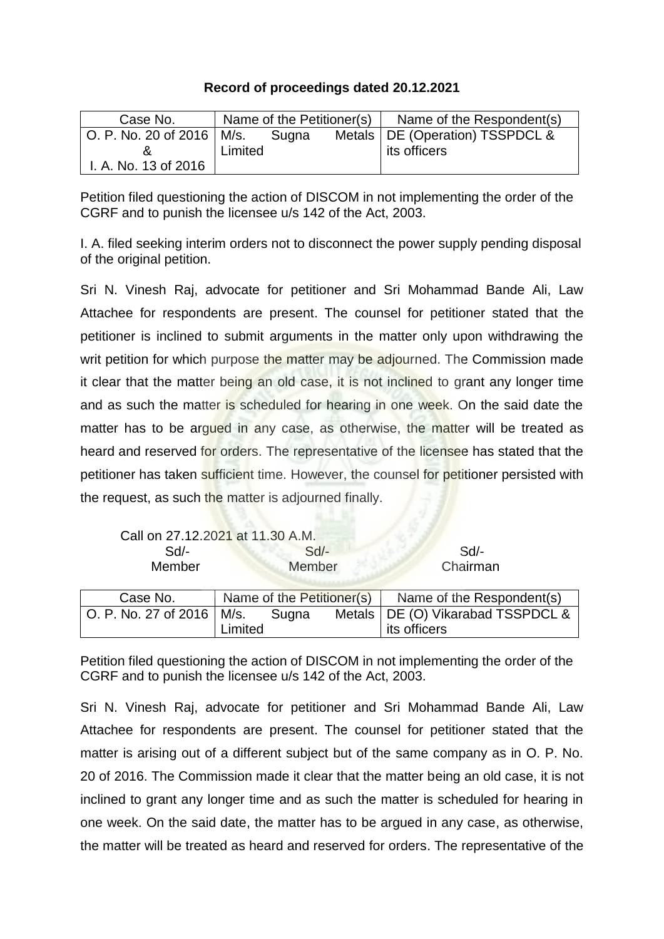## **Record of proceedings dated 20.12.2021**

| Case No.                    | Name of the Petitioner(s) |       | Name of the Respondent(s)         |
|-----------------------------|---------------------------|-------|-----------------------------------|
| O. P. No. 20 of 2016   M/s. |                           | Sugna | Metals   DE (Operation) TSSPDCL & |
|                             | Limited                   |       | its officers                      |
| I. A. No. 13 of 2016        |                           |       |                                   |

Petition filed questioning the action of DISCOM in not implementing the order of the CGRF and to punish the licensee u/s 142 of the Act, 2003.

I. A. filed seeking interim orders not to disconnect the power supply pending disposal of the original petition.

Sri N. Vinesh Raj, advocate for petitioner and Sri Mohammad Bande Ali, Law Attachee for respondents are present. The counsel for petitioner stated that the petitioner is inclined to submit arguments in the matter only upon withdrawing the writ petition for which purpose the matter may be adjourned. The Commission made it clear that the matter being an old case, it is not inclined to grant any longer time and as such the matter is scheduled for hearing in one week. On the said date the matter has to be argued in any case, as otherwise, the matter will be treated as heard and reserved for orders. The representative of the licensee has stated that the petitioner has taken sufficient time. However, the counsel for petitioner persisted with the request, as such the matter is adjourned finally.

|                             | Call on 27.12.2021 at 11.30 A.M. |       |  |                                     |
|-----------------------------|----------------------------------|-------|--|-------------------------------------|
| Sd                          | $Sd$ -                           |       |  | Sd                                  |
| Member                      | Member                           |       |  | Chairman                            |
|                             |                                  |       |  |                                     |
| Case No.                    | Name of the Petitioner(s)        |       |  | Name of the Respondent(s)           |
| O. P. No. 27 of 2016   M/s. |                                  | Sugna |  | Metals   DE (O) Vikarabad TSSPDCL & |
|                             | <i>imited</i>                    |       |  | its officers                        |

Petition filed questioning the action of DISCOM in not implementing the order of the CGRF and to punish the licensee u/s 142 of the Act, 2003.

Sri N. Vinesh Raj, advocate for petitioner and Sri Mohammad Bande Ali, Law Attachee for respondents are present. The counsel for petitioner stated that the matter is arising out of a different subject but of the same company as in O. P. No. 20 of 2016. The Commission made it clear that the matter being an old case, it is not inclined to grant any longer time and as such the matter is scheduled for hearing in one week. On the said date, the matter has to be argued in any case, as otherwise, the matter will be treated as heard and reserved for orders. The representative of the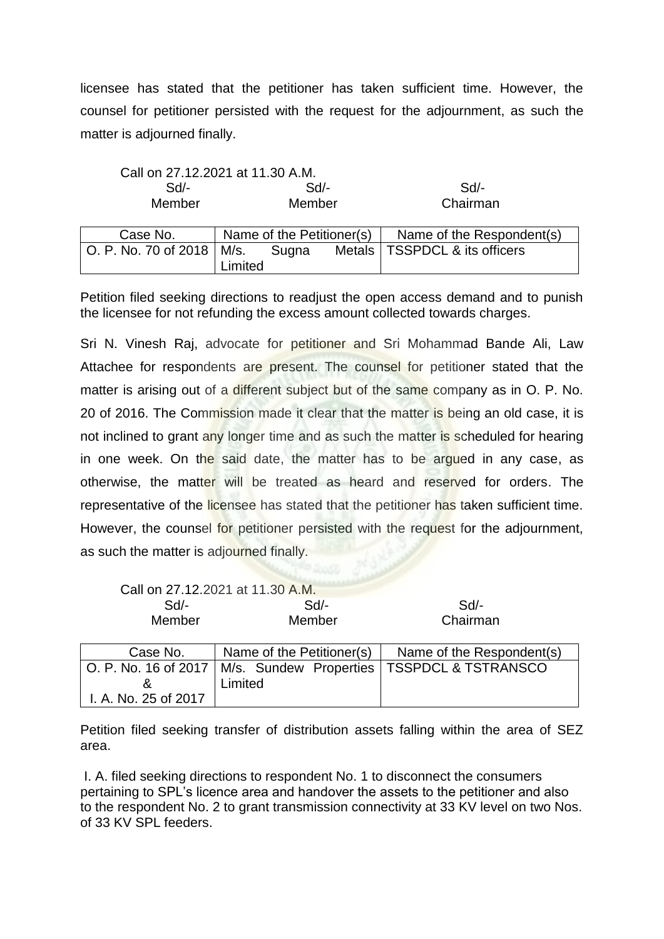licensee has stated that the petitioner has taken sufficient time. However, the counsel for petitioner persisted with the request for the adjournment, as such the matter is adjourned finally.

| Call on 27.12.2021 at 11.30 A.M. |         |          |
|----------------------------------|---------|----------|
| Sd                               | $Sd/$ - | Sd       |
| Member                           | Member  | Chairman |

| Case No.                    | Name of the Petitioner(s) |       | Name of the Respondent(s)       |
|-----------------------------|---------------------------|-------|---------------------------------|
| O. P. No. 70 of 2018   M/s. |                           | Sugna | Metals   TSSPDCL & its officers |
|                             | Limited                   |       |                                 |

Petition filed seeking directions to readjust the open access demand and to punish the licensee for not refunding the excess amount collected towards charges.

Sri N. Vinesh Raj, advocate for petitioner and Sri Mohammad Bande Ali, Law Attachee for respondents are present. The counsel for petitioner stated that the matter is arising out of a different subject but of the same company as in O. P. No. 20 of 2016. The Commission made it clear that the matter is being an old case, it is not inclined to grant any longer time and as such the matter is scheduled for hearing in one week. On the said date, the matter has to be argued in any case, as otherwise, the matter will be treated as heard and reserved for orders. The representative of the licensee has stated that the petitioner has taken sufficient time. However, the counsel for petitioner persisted with the request for the adjournment, as such the matter is adjourned finally.

|                      | Call on 27.12.2021 at 11.30 A.M. |                                                                     |
|----------------------|----------------------------------|---------------------------------------------------------------------|
| Sd/-                 | $Sd$ -                           | Sd/-                                                                |
| Member               | Member                           | Chairman                                                            |
|                      |                                  |                                                                     |
| Case No.             | Name of the Petitioner(s)        | Name of the Respondent(s)                                           |
|                      |                                  | O. P. No. 16 of 2017   M/s. Sundew Properties   TSSPDCL & TSTRANSCO |
| &                    | Limited                          |                                                                     |
| I. A. No. 25 of 2017 |                                  |                                                                     |

Petition filed seeking transfer of distribution assets falling within the area of SEZ area.

I. A. filed seeking directions to respondent No. 1 to disconnect the consumers pertaining to SPL's licence area and handover the assets to the petitioner and also to the respondent No. 2 to grant transmission connectivity at 33 KV level on two Nos. of 33 KV SPL feeders.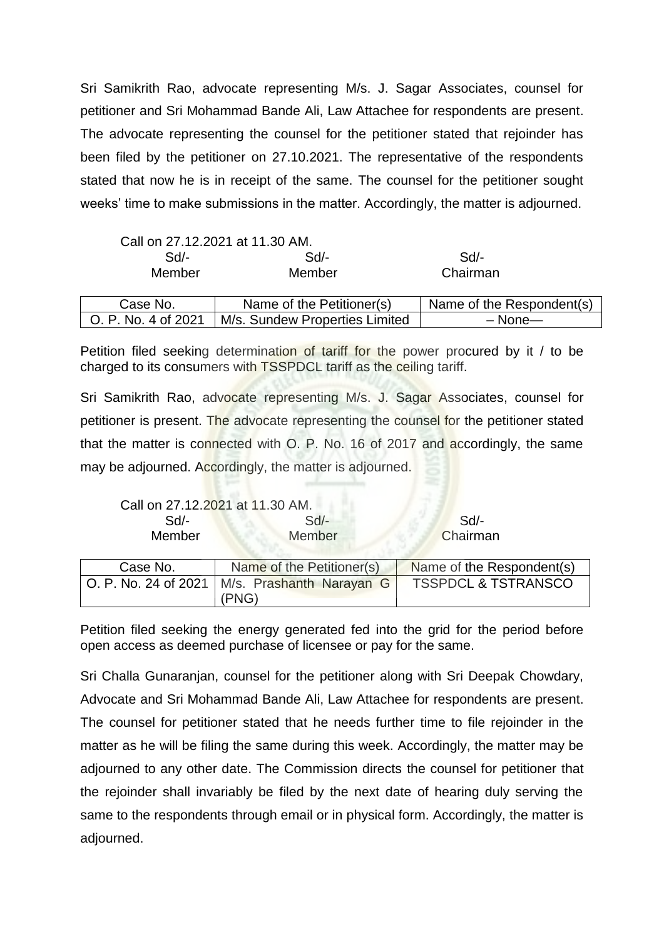Sri Samikrith Rao, advocate representing M/s. J. Sagar Associates, counsel for petitioner and Sri Mohammad Bande Ali, Law Attachee for respondents are present. The advocate representing the counsel for the petitioner stated that rejoinder has been filed by the petitioner on 27.10.2021. The representative of the respondents stated that now he is in receipt of the same. The counsel for the petitioner sought weeks' time to make submissions in the matter. Accordingly, the matter is adjourned.

|                     | Call on 27.12.2021 at 11.30 AM. |                           |
|---------------------|---------------------------------|---------------------------|
| $Sd$ -              | Sd                              | $Sd$ -                    |
| Member              | Member                          | Chairman                  |
|                     |                                 |                           |
| Case No.            | Name of the Petitioner(s)       | Name of the Respondent(s) |
| O. P. No. 4 of 2021 | M/s. Sundew Properties Limited  | $-$ None $-$              |

Petition filed seeking determination of tariff for the power procured by it / to be charged to its consumers with **TSSPDCL** tariff as the ceiling tariff.

Sri Samikrith Rao, advocate representing M/s. J. Sagar Associates, counsel for petitioner is present. The advocate representing the counsel for the petitioner stated that the matter is connected with O. P. No. 16 of 2017 and accordingly, the same may be adjourned. Accordingly, the matter is adjourned.

| Call on 27.12.2021 at 11.30 AM. |        |          |
|---------------------------------|--------|----------|
| Sd/-                            | $Sd$ - | Sd       |
| <b>Member</b>                   | Member | Chairman |

| Case No. | Name of the Petitioner(s)                         | Name of the Respondent(s)      |
|----------|---------------------------------------------------|--------------------------------|
|          | O. P. No. 24 of 2021   M/s. Prashanth Narayan G I | <b>TSSPDCL &amp; TSTRANSCO</b> |
|          | (PNG)                                             |                                |

Petition filed seeking the energy generated fed into the grid for the period before open access as deemed purchase of licensee or pay for the same.

Sri Challa Gunaranjan, counsel for the petitioner along with Sri Deepak Chowdary, Advocate and Sri Mohammad Bande Ali, Law Attachee for respondents are present. The counsel for petitioner stated that he needs further time to file rejoinder in the matter as he will be filing the same during this week. Accordingly, the matter may be adjourned to any other date. The Commission directs the counsel for petitioner that the rejoinder shall invariably be filed by the next date of hearing duly serving the same to the respondents through email or in physical form. Accordingly, the matter is adjourned.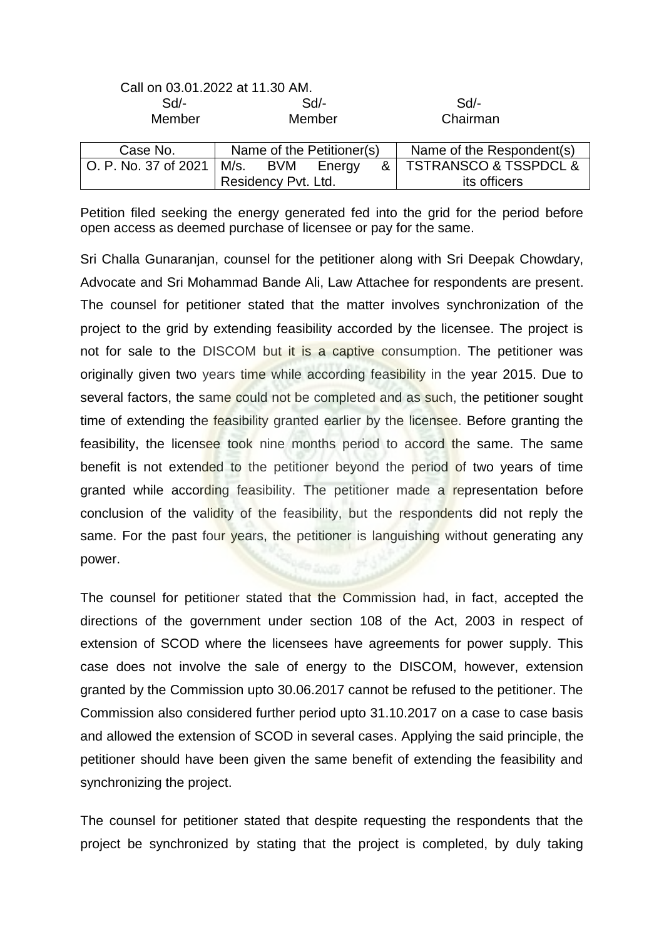|                      | Call on 03.01.2022 at 11.30 AM. |                                      |
|----------------------|---------------------------------|--------------------------------------|
| $Sd$ -               | $Sd$ -                          | Sd                                   |
| Member               | Member                          | Chairman                             |
| Case No.             | Name of the Petitioner(s)       | Name of the Respondent(s)            |
| O. P. No. 37 of 2021 | M/s. BVM<br>&<br>Energy         | <b>TSTRANSCO &amp; TSSPDCL &amp;</b> |
|                      | Residency Pvt. Ltd.             | its officers                         |

Petition filed seeking the energy generated fed into the grid for the period before open access as deemed purchase of licensee or pay for the same.

Sri Challa Gunaranjan, counsel for the petitioner along with Sri Deepak Chowdary, Advocate and Sri Mohammad Bande Ali, Law Attachee for respondents are present. The counsel for petitioner stated that the matter involves synchronization of the project to the grid by extending feasibility accorded by the licensee. The project is not for sale to the DISCOM but it is a captive consumption. The petitioner was originally given two years time while according feasibility in the year 2015. Due to several factors, the same could not be completed and as such, the petitioner sought time of extending the feasibility granted earlier by the licensee. Before granting the feasibility, the licensee took nine months period to accord the same. The same benefit is not extended to the petitioner beyond the period of two years of time granted while according feasibility. The petitioner made a representation before conclusion of the validity of the feasibility, but the respondents did not reply the same. For the past four years, the petitioner is languishing without generating any power.

The counsel for petitioner stated that the Commission had, in fact, accepted the directions of the government under section 108 of the Act, 2003 in respect of extension of SCOD where the licensees have agreements for power supply. This case does not involve the sale of energy to the DISCOM, however, extension granted by the Commission upto 30.06.2017 cannot be refused to the petitioner. The Commission also considered further period upto 31.10.2017 on a case to case basis and allowed the extension of SCOD in several cases. Applying the said principle, the petitioner should have been given the same benefit of extending the feasibility and synchronizing the project.

The counsel for petitioner stated that despite requesting the respondents that the project be synchronized by stating that the project is completed, by duly taking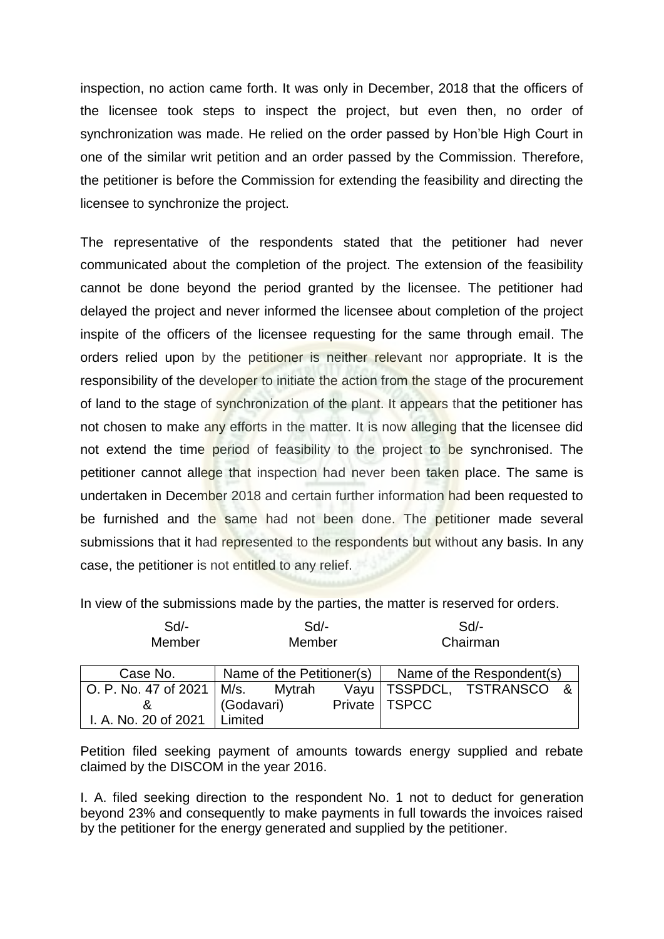inspection, no action came forth. It was only in December, 2018 that the officers of the licensee took steps to inspect the project, but even then, no order of synchronization was made. He relied on the order passed by Hon'ble High Court in one of the similar writ petition and an order passed by the Commission. Therefore, the petitioner is before the Commission for extending the feasibility and directing the licensee to synchronize the project.

The representative of the respondents stated that the petitioner had never communicated about the completion of the project. The extension of the feasibility cannot be done beyond the period granted by the licensee. The petitioner had delayed the project and never informed the licensee about completion of the project inspite of the officers of the licensee requesting for the same through email. The orders relied upon by the petitioner is neither relevant nor appropriate. It is the responsibility of the developer to initiate the action from the stage of the procurement of land to the stage of synchronization of the plant. It appears that the petitioner has not chosen to make any efforts in the matter. It is now alleging that the licensee did not extend the time period of feasibility to the project to be synchronised. The petitioner cannot allege that inspection had never been taken place. The same is undertaken in December 2018 and certain further information had been requested to be furnished and the same had not been done. The petitioner made several submissions that it had represented to the respondents but without any basis. In any case, the petitioner is not entitled to any relief.

In view of the submissions made by the parties, the matter is reserved for orders.

| $Sd$ -<br>Member                   | Sd<br>Member |                           |  | Sd<br>Chairman  |                           |  |
|------------------------------------|--------------|---------------------------|--|-----------------|---------------------------|--|
| Case No.                           |              | Name of the Petitioner(s) |  |                 | Name of the Respondent(s) |  |
| O. P. No. 47 of 2021   M/s. Mytrah |              |                           |  |                 | Vayu   TSSPDCL, TSTRANSCO |  |
| &                                  | (Godavari)   |                           |  | Private   TSPCC |                           |  |
| I. A. No. 20 of 2021   Limited     |              |                           |  |                 |                           |  |

Petition filed seeking payment of amounts towards energy supplied and rebate claimed by the DISCOM in the year 2016.

I. A. filed seeking direction to the respondent No. 1 not to deduct for generation beyond 23% and consequently to make payments in full towards the invoices raised by the petitioner for the energy generated and supplied by the petitioner.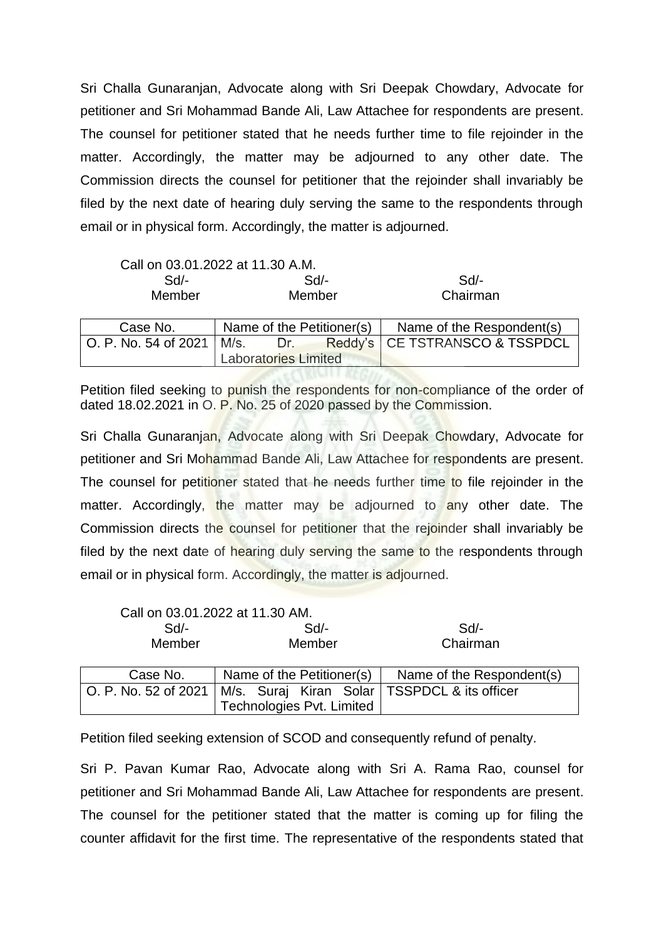Sri Challa Gunaranjan, Advocate along with Sri Deepak Chowdary, Advocate for petitioner and Sri Mohammad Bande Ali, Law Attachee for respondents are present. The counsel for petitioner stated that he needs further time to file rejoinder in the matter. Accordingly, the matter may be adjourned to any other date. The Commission directs the counsel for petitioner that the rejoinder shall invariably be filed by the next date of hearing duly serving the same to the respondents through email or in physical form. Accordingly, the matter is adjourned.

|          | Call on 03.01.2022 at 11.30 A.M. |                                                                  |
|----------|----------------------------------|------------------------------------------------------------------|
| $Sd$ -   | Sd                               | Sd                                                               |
| Member   | Member                           | Chairman                                                         |
|          |                                  |                                                                  |
| Case No. | Name of the Petitioner(s)        | Name of the Respondent(s)                                        |
|          |                                  | O. P. No. 54 of 2021   M/s. Dr. Reddy's   CE TSTRANSCO & TSSPDCL |
|          | <b>Laboratories Limited</b>      |                                                                  |

Petition filed seeking to punish the respondents for non-compliance of the order of dated 18.02.2021 in O. P. No. 25 of 2020 passed by the Commission.

Sri Challa Gunaranjan, Advocate along with Sri Deepak Chowdary, Advocate for petitioner and Sri Mohammad Bande Ali, Law Attachee for respondents are present. The counsel for petitioner stated that he needs further time to file rejoinder in the matter. Accordingly, the matter may be adjourned to any other date. The Commission directs the counsel for petitioner that the rejoinder shall invariably be filed by the next date of hearing duly serving the same to the respondents through email or in physical form. Accordingly, the matter is adjourned.

|                      | Call on 03.01.2022 at 11.30 AM.                |                           |
|----------------------|------------------------------------------------|---------------------------|
| $Sd$ -               | Sd                                             | $Sd$ -                    |
| Member               | Member                                         | Chairman                  |
|                      |                                                |                           |
| Case No.             | Name of the Petitioner(s)                      | Name of the Respondent(s) |
| O. P. No. 52 of 2021 | M/s. Suraj Kiran Solar   TSSPDCL & its officer |                           |
|                      | Technologies Pvt. Limited                      |                           |

Petition filed seeking extension of SCOD and consequently refund of penalty.

Sri P. Pavan Kumar Rao, Advocate along with Sri A. Rama Rao, counsel for petitioner and Sri Mohammad Bande Ali, Law Attachee for respondents are present. The counsel for the petitioner stated that the matter is coming up for filing the counter affidavit for the first time. The representative of the respondents stated that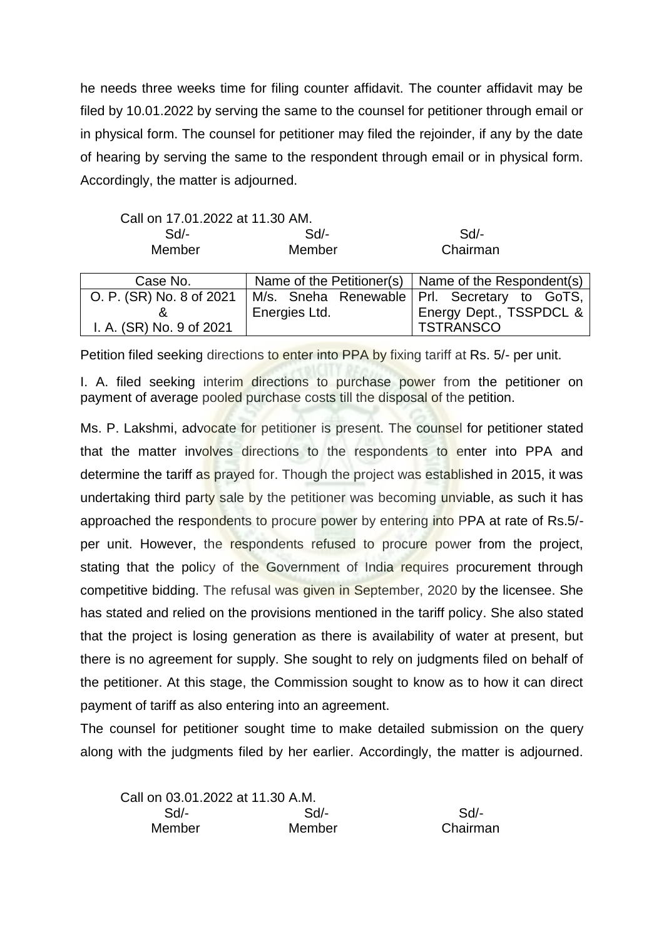he needs three weeks time for filing counter affidavit. The counter affidavit may be filed by 10.01.2022 by serving the same to the counsel for petitioner through email or in physical form. The counsel for petitioner may filed the rejoinder, if any by the date of hearing by serving the same to the respondent through email or in physical form. Accordingly, the matter is adjourned.

| Call on 17.01.2022 at 11.30 AM. |        |          |  |
|---------------------------------|--------|----------|--|
| Sd/-                            | Sd/-   | $Sd$ -   |  |
| Member                          | Member | Chairman |  |

| Case No.                 |               | Name of the Petitioner(s) $\vert$ Name of the Respondent(s) |
|--------------------------|---------------|-------------------------------------------------------------|
| O. P. (SR) No. 8 of 2021 |               | M/s. Sneha Renewable Prl. Secretary to GoTS,                |
|                          | Energies Ltd. | Energy Dept., TSSPDCL &                                     |
| I. A. (SR) No. 9 of 2021 |               | <b>TSTRANSCO</b>                                            |

Petition filed seeking directions to enter into PPA by fixing tariff at Rs. 5/- per unit.

I. A. filed seeking interim directions to purchase power from the petitioner on payment of average pooled purchase costs till the disposal of the petition.

Ms. P. Lakshmi, advocate for petitioner is present. The counsel for petitioner stated that the matter involves directions to the respondents to enter into PPA and determine the tariff as prayed for. Though the project was established in 2015, it was undertaking third party sale by the petitioner was becoming unviable, as such it has approached the respondents to procure power by entering into PPA at rate of Rs.5/ per unit. However, the respondents refused to procure power from the project, stating that the policy of the Government of India requires procurement through competitive bidding. The refusal was given in September, 2020 by the licensee. She has stated and relied on the provisions mentioned in the tariff policy. She also stated that the project is losing generation as there is availability of water at present, but there is no agreement for supply. She sought to rely on judgments filed on behalf of the petitioner. At this stage, the Commission sought to know as to how it can direct payment of tariff as also entering into an agreement.

The counsel for petitioner sought time to make detailed submission on the query along with the judgments filed by her earlier. Accordingly, the matter is adjourned.

| Call on 03.01.2022 at 11.30 A.M. |        |          |
|----------------------------------|--------|----------|
| $Sd/-$                           | $Sd/-$ | Sd       |
| Member                           | Member | Chairman |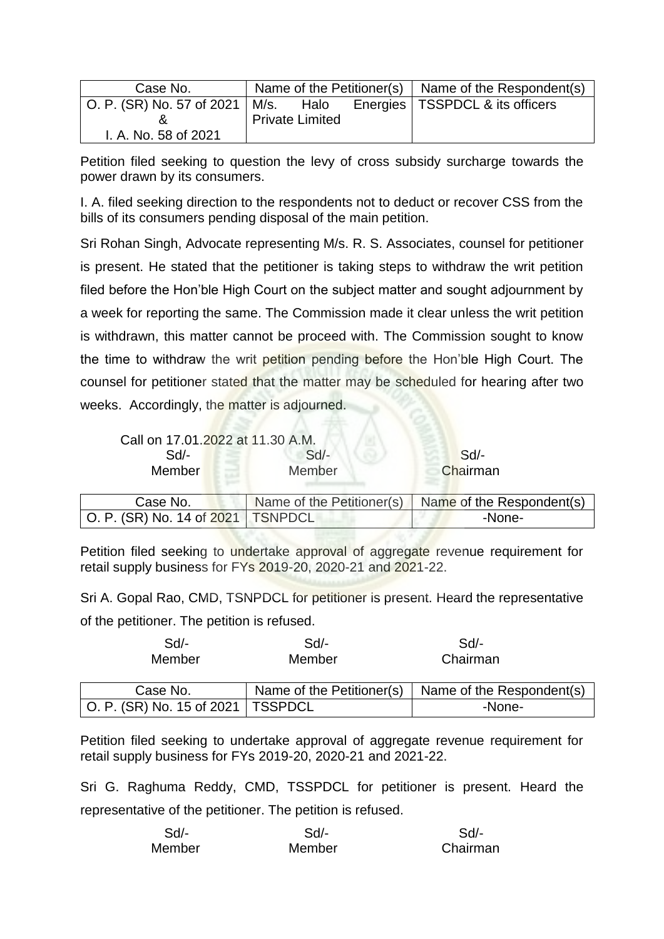| Case No.                                            |                        | Name of the Petitioner(s) $\vert$ Name of the Respondent(s) |
|-----------------------------------------------------|------------------------|-------------------------------------------------------------|
| $\vert$ O. P. (SR) No. 57 of 2021 $\vert$ M/s. Halo |                        | Energies   TSSPDCL & its officers                           |
|                                                     | <b>Private Limited</b> |                                                             |
| I. A. No. 58 of 2021                                |                        |                                                             |

Petition filed seeking to question the levy of cross subsidy surcharge towards the power drawn by its consumers.

I. A. filed seeking direction to the respondents not to deduct or recover CSS from the bills of its consumers pending disposal of the main petition.

Sri Rohan Singh, Advocate representing M/s. R. S. Associates, counsel for petitioner is present. He stated that the petitioner is taking steps to withdraw the writ petition filed before the Hon'ble High Court on the subject matter and sought adjournment by a week for reporting the same. The Commission made it clear unless the writ petition is withdrawn, this matter cannot be proceed with. The Commission sought to know the time to withdraw the writ petition pending before the Hon'ble High Court. The counsel for petitioner stated that the matter may be scheduled for hearing after two weeks. Accordingly, the matter is adjourned.

| Call on 17.01.2022 at 11.30 A.M.    |                           |                           |
|-------------------------------------|---------------------------|---------------------------|
| $Sd$ -                              | $Sd$ -                    | Sd                        |
| Member                              | Member                    | Chairman                  |
| Case No.                            | Name of the Petitioner(s) | Name of the Respondent(s) |
| O. P. (SR) No. 14 of 2021   TSNPDCL |                           | -None-                    |

Petition filed seeking to undertake approval of aggregate revenue requirement for retail supply business for FYs 2019-20, 2020-21 and 2021-22.

Sri A. Gopal Rao, CMD, TSNPDCL for petitioner is present. Heard the representative of the petitioner. The petition is refused.

| $Sd$ -                              | $Sd$ -                    | Sd                        |
|-------------------------------------|---------------------------|---------------------------|
| Member                              | Member                    | Chairman                  |
| Case No.                            | Name of the Petitioner(s) | Name of the Respondent(s) |
| O. P. (SR) No. 15 of 2021   TSSPDCL |                           | -None-                    |

Petition filed seeking to undertake approval of aggregate revenue requirement for retail supply business for FYs 2019-20, 2020-21 and 2021-22.

Sri G. Raghuma Reddy, CMD, TSSPDCL for petitioner is present. Heard the representative of the petitioner. The petition is refused.

| $Sd$ - | Sd     | Sd       |
|--------|--------|----------|
| Member | Member | Chairman |